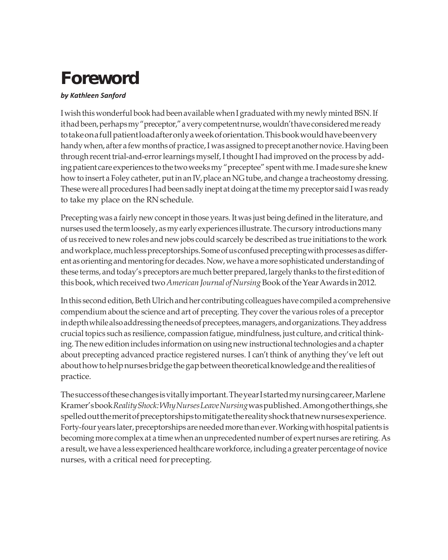# **Foreword**

# *by Kathleen Sanford*

I wish this wonderful book had been available when I graduated with my newly minted BSN.If ithad been, perhaps my "preceptor," a very competent nurse, wouldn't have considered me ready totakeonafullpatientloadafteronlyaweekoforientation.Thisbookwouldhavebeenvery handy when, after a few months of practice, I was assigned to precept another novice. Having been through recent trial-and-error learnings myself, I thought I had improved on the process by adding patient care experiences to the two weeks my "preceptee" spent with me. I made sure she knew how to insert a Foley catheter, put in an IV, place an NG tube, and change a tracheostomy dressing. These were all procedures Ihad been sadly inept at doing atthe time my preceptor said I was ready to take my place on the RNschedule.

Precepting was a fairly new concept in those years. It was just being defined in the literature, and nurses used the term loosely, as my early experiences illustrate. The cursory introductions many of us received to new roles and new jobs could scarcely be described as true initiations to the work and workplace, much less preceptorships. Some of us confused precepting with processes as different as orienting and mentoring for decades. Now,wehave amore sophisticated understanding of these terms, and today's preceptors are much better prepared,largely thanks to the first edition of this book, which received two *American Journal of Nursing* Book of the Year Awards in 2012.

In this second edition, Beth Ulrich and her contributing colleagues have compiled a comprehensive compendium about the science and art of precepting. They cover the various roles of a preceptor indepth while also addressing the needs of preceptees, managers, and organizations. They address crucial topics such as resilience, compassion fatigue, mindfulness, just culture, and critical thinking. The new edition includes information on using new instructionaltechnologies and a chapter about precepting advanced practice registered nurses. I can't think of anything they've left out abouthowtohelpnursesbridgethegapbetweentheoreticalknowledgeandtherealitiesof practice.

Thesuccessofthesechangesisvitallyimportant.TheyearIstartedmynursingcareer,Marlene Kramer'sbook*RealityShock:WhyNursesLeaveNursing*waspublished.Amongotherthings,she spelledoutthemeritofpreceptorshipstomitigatetherealityshockthatnewnursesexperience. Forty-four years later, preceptorships are needed more than ever. Working with hospital patients is becoming more complex at a time when an unprecedented number of expert nurses are retiring. As a result, we have a less experienced healthcare workforce, including a greater percentage of novice nurses, with a critical need for precepting.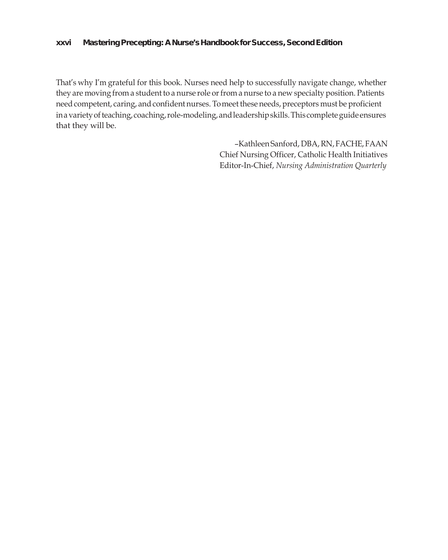### **xxvi MasteringPrecepting: A Nurse'sHandbook forSuccess, Second Edition**

That's why I'm grateful for this book. Nurses need help to successfully navigate change, whether they are moving from a student to a nurse role or from a nurse to a new specialty position. Patients need competent, caring, and confident nurses. Tomeet these needs, preceptors must be proficient ina variety of teaching, coaching, role-modeling, and leadership skills. This complete guide ensures that they will be.

> –Kathleen Sanford, DBA,RN, FACHE, FAAN Chief Nursing Officer, Catholic Health Initiatives Editor-In-Chief, *Nursing Administration Quarterly*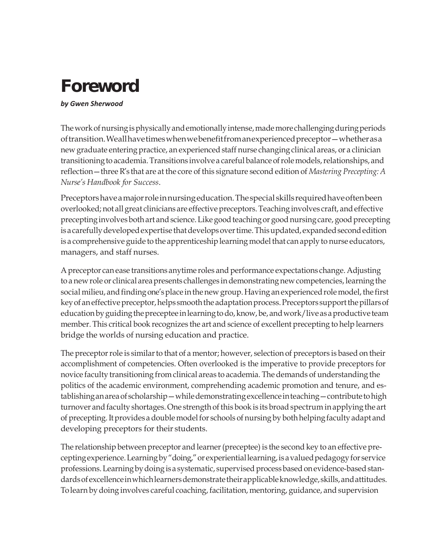# **Foreword**

## *by Gwen Sherwood*

The work of nursing is physically and emotionally intense, made more challenging during periods oftransition.Weallhavetimeswhenwebenefitfromanexperiencedpreceptor—whetherasa new graduate entering practice, an experienced staff nurse changing clinical areas, or a clinician transitioning to academia. Transitions involve a careful balance of role models, relationships, and reflection—three R's that are at the core of this signature second edition of *Mastering Precepting: A Nurse's Handbook for Success*.

Preceptorshaveamajorroleinnursingeducation.Thespecial skillsrequiredhaveoftenbeen overlooked; not all great clinicians are effective preceptors. Teaching involves craft, and effective precepting involves both art and science. Like good teaching or good nursing care, good precepting is a carefully developed expertise that develops over time. This updated, expanded second edition is a comprehensive guide to the apprenticeship learning model that can apply to nurse educators, managers, and staff nurses.

A preceptor can ease transitions anytime roles and performance expectations change. Adjusting to a new role or clinical area presents challenges in demonstrating new competencies, learning the social milieu, and finding one's place in the new group. Having an experienced role model, the first key of an effective preceptor, helps smooth the adaptation process. Preceptors support the pillars of education by guiding the preceptee in learning to do, know, be, and work/live as a productive team member. This critical book recognizes the art and science of excellent precepting to help learners bridge the worlds of nursing education and practice.

The preceptor role is similar to that of a mentor; however, selection of preceptors is based on their accomplishment of competencies. Often overlooked is the imperative to provide preceptors for novice faculty transitioning from clinical areas to academia. The demands of understanding the politics of the academic environment, comprehending academic promotion and tenure, and establishing an area of scholarship — while demonstrating excellence in teaching — contribute to high turnover and faculty shortages. One strength of this book is its broad spectrum in applying the art of precepting. It provides a double model for schools of nursing by both helping faculty adapt and developing preceptors for their students.

The relationship between preceptor and learner (preceptee) is the second key to an effective precepting experience. Learning by "doing," or experiential learning, is a valued pedagogy for service professions. Learning by doing is a systematic, supervised process based on evidence-based standards of excellence in which learners demonstrate their applicable knowledge, skills, and attitudes. Tolearn by doing involves careful coaching, facilitation, mentoring, guidance, and supervision